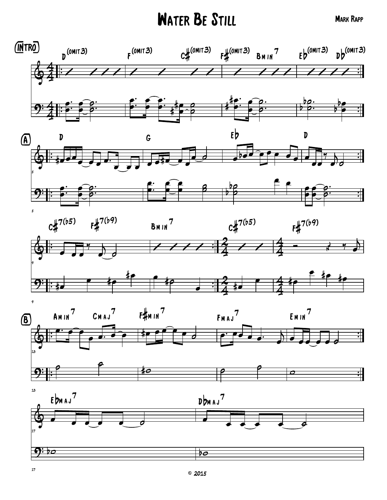## WATER BE STILL MARK RAPP